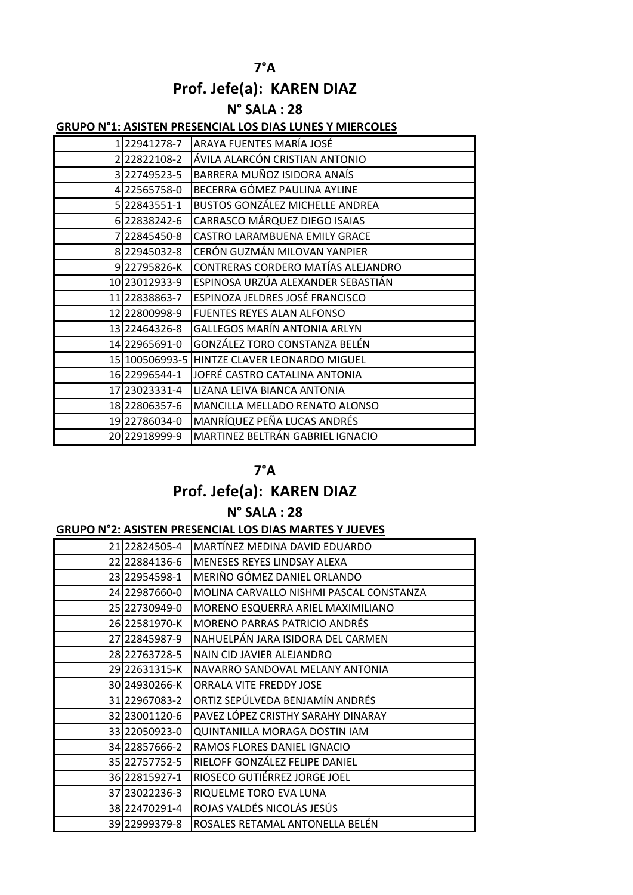# **7°A Prof. Jefe(a): KAREN DIAZ**

## **N° SALA : 28**

#### **GRUPO N°1: ASISTEN PRESENCIAL LOS DIAS LUNES Y MIERCOLES**

| 122941278-7   | ARAYA FUENTES MARÍA JOSÉ                     |
|---------------|----------------------------------------------|
| 22822108-2    | ÁVILA ALARCÓN CRISTIAN ANTONIO               |
| 322749523-5   | BARRERA MUÑOZ ISIDORA ANAÍS                  |
| 4 22565758-0  | BECERRA GÓMEZ PAULINA AYLINE                 |
| 5 22843551-1  | <b>BUSTOS GONZÁLEZ MICHELLE ANDREA</b>       |
| 6 22838242-6  | CARRASCO MÁRQUEZ DIEGO ISAIAS                |
| 7 22845450-8  | CASTRO LARAMBUENA EMILY GRACE                |
| 8 22945032-8  | CERÓN GUZMÁN MILOVAN YANPIER                 |
| 922795826-K   | CONTRERAS CORDERO MATÍAS ALEJANDRO           |
| 10 23012933-9 | ESPINOSA URZÚA ALEXANDER SEBASTIÁN           |
| 11 22838863-7 | ESPINOZA JELDRES JOSÉ FRANCISCO              |
| 12 22800998-9 | <b>FUENTES REYES ALAN ALFONSO</b>            |
| 13 22464326-8 | <b>GALLEGOS MARÍN ANTONIA ARLYN</b>          |
| 14 22965691-0 | GONZÁLEZ TORO CONSTANZA BELÉN                |
|               | 15 100506993-5 HINTZE CLAVER LEONARDO MIGUEL |
| 16 22996544-1 | JOFRÉ CASTRO CATALINA ANTONIA                |
| 17 23023331-4 | LIZANA LEIVA BIANCA ANTONIA                  |
| 18 22806357-6 | MANCILLA MELLADO RENATO ALONSO               |
| 19 22786034-0 | MANRÍQUEZ PEÑA LUCAS ANDRÉS                  |
| 20 22918999-9 | MARTINEZ BELTRÁN GABRIEL IGNACIO             |

### **7°A**

## **Prof. Jefe(a): KAREN DIAZ**

### **N° SALA : 28**

#### **GRUPO N°2: ASISTEN PRESENCIAL LOS DIAS MARTES Y JUEVES**

| 21 22824505-4   | MARTÍNEZ MEDINA DAVID EDUARDO           |
|-----------------|-----------------------------------------|
| 22 22884136-6   | MENESES REYES LINDSAY ALEXA             |
| 23 22954598-1   | MERIÑO GÓMEZ DANIEL ORLANDO             |
| 24 229 876 60-0 | MOLINA CARVALLO NISHMI PASCAL CONSTANZA |
| 25 22730949-0   | MORENO ESQUERRA ARIEL MAXIMILIANO       |
| 26 22581970-K   | <b>MORENO PARRAS PATRICIO ANDRÉS</b>    |
| 27 22845987-9   | NAHUELPÁN JARA ISIDORA DEL CARMEN       |
| 28 22763728-5   | NAIN CID JAVIER ALEJANDRO               |
| 29 22631315-K   | NAVARRO SANDOVAL MELANY ANTONIA         |
| 30 24930266-K   | <b>ORRALA VITE FREDDY JOSE</b>          |
| 31 22967083-2   | ORTIZ SEPÚLVEDA BENJAMÍN ANDRÉS         |
| 32 23001120-6   | PAVEZ LÓPEZ CRISTHY SARAHY DINARAY      |
| 33 22050923-0   | QUINTANILLA MORAGA DOSTIN IAM           |
| 34 22857666-2   | RAMOS FLORES DANIEL IGNACIO             |
| 35 22757752-5   | RIELOFF GONZÁLEZ FELIPE DANIEL          |
| 36 22815927-1   | RIOSECO GUTIÉRREZ JORGE JOEL            |
| 37 23022236-3   | RIQUELME TORO EVA LUNA                  |
| 38 22470291-4   | ROJAS VALDÉS NICOLÁS JESÚS              |
| 39 22999379-8   | ROSALES RETAMAL ANTONELLA BELÉN         |